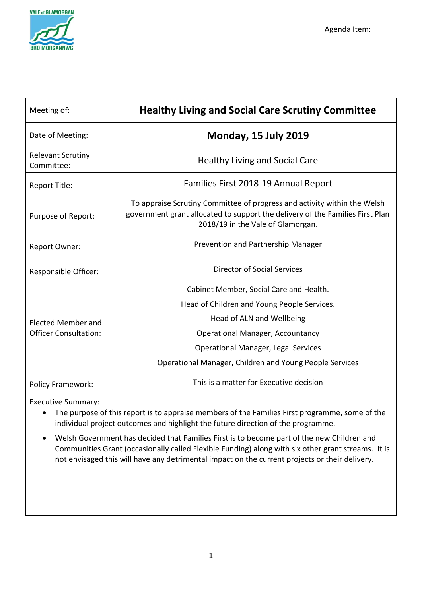

| Meeting of:                                        | <b>Healthy Living and Social Care Scrutiny Committee</b>                                                                                                                                       |
|----------------------------------------------------|------------------------------------------------------------------------------------------------------------------------------------------------------------------------------------------------|
| Date of Meeting:                                   | <b>Monday, 15 July 2019</b>                                                                                                                                                                    |
| <b>Relevant Scrutiny</b><br>Committee:             | <b>Healthy Living and Social Care</b>                                                                                                                                                          |
| Report Title:                                      | Families First 2018-19 Annual Report                                                                                                                                                           |
| Purpose of Report:                                 | To appraise Scrutiny Committee of progress and activity within the Welsh<br>government grant allocated to support the delivery of the Families First Plan<br>2018/19 in the Vale of Glamorgan. |
| Report Owner:                                      | Prevention and Partnership Manager                                                                                                                                                             |
| Responsible Officer:                               | Director of Social Services                                                                                                                                                                    |
| Elected Member and<br><b>Officer Consultation:</b> | Cabinet Member, Social Care and Health.                                                                                                                                                        |
|                                                    | Head of Children and Young People Services.                                                                                                                                                    |
|                                                    | Head of ALN and Wellbeing                                                                                                                                                                      |
|                                                    | <b>Operational Manager, Accountancy</b>                                                                                                                                                        |
|                                                    | <b>Operational Manager, Legal Services</b>                                                                                                                                                     |
|                                                    | Operational Manager, Children and Young People Services                                                                                                                                        |
| <b>Policy Framework:</b>                           | This is a matter for Executive decision                                                                                                                                                        |

Executive Summary:

- The purpose of this report is to appraise members of the Families First programme, some of the individual project outcomes and highlight the future direction of the programme.
- Welsh Government has decided that Families First is to become part of the new Children and Communities Grant (occasionally called Flexible Funding) along with six other grant streams. It is not envisaged this will have any detrimental impact on the current projects or their delivery.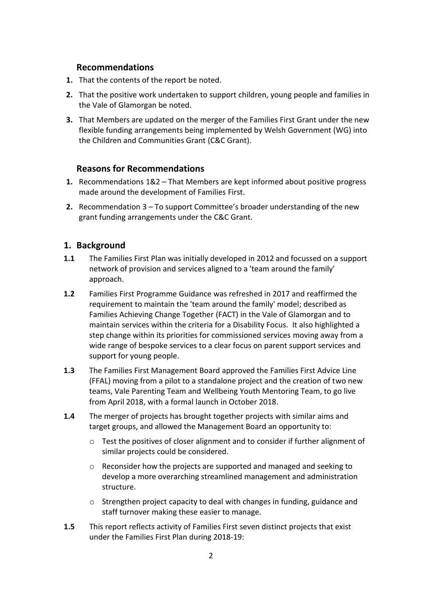#### **Recommendations**

- **1.** That the contents of the report be noted.
- **2.** That the positive work undertaken to support children, young people and families in the Vale of Glamorgan be noted.
- **3.** That Members are updated on the merger of the Families First Grant under the new flexible funding arrangements being implemented by Welsh Government (WG) into the Children and Communities Grant (C&C Grant).

# **Reasons for Recommendations**

- **1.** Recommendations 1&2 That Members are kept informed about positive progress made around the development of Families First.
- **2.** Recommendation 3 To support Committee's broader understanding of the new grant funding arrangements under the C&C Grant.

# **1. Background**

- **1.1** The Families First Plan was initially developed in 2012 and focussed on a support network of provision and services aligned to a 'team around the family' approach.
- **1.2** Families First Programme Guidance was refreshed in 2017 and reaffirmed the requirement to maintain the 'team around the family' model; described as Families Achieving Change Together (FACT) in the Vale of Glamorgan and to maintain services within the criteria for a Disability Focus. It also highlighted a step change within its priorities for commissioned services moving away from a wide range of bespoke services to a clear focus on parent support services and support for young people.
- **1.3** The Families First Management Board approved the Families First Advice Line (FFAL) moving from a pilot to a standalone project and the creation of two new teams, Vale Parenting Team and Wellbeing Youth Mentoring Team, to go live from April 2018, with a formal launch in October 2018.
- **1.4** The merger of projects has brought together projects with similar aims and target groups, and allowed the Management Board an opportunity to:
	- o Test the positives of closer alignment and to consider if further alignment of similar projects could be considered.
	- $\circ$  Reconsider how the projects are supported and managed and seeking to develop a more overarching streamlined management and administration structure.
	- o Strengthen project capacity to deal with changes in funding, guidance and staff turnover making these easier to manage.
- **1.5** This report reflects activity of Families First seven distinct projects that exist under the Families First Plan during 2018-19: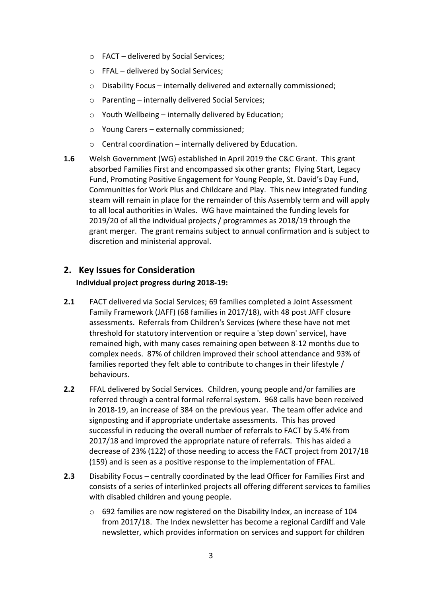- o FACT delivered by Social Services;
- o FFAL delivered by Social Services;
- o Disability Focus internally delivered and externally commissioned;
- o Parenting internally delivered Social Services;
- $\circ$  Youth Wellbeing internally delivered by Education:
- o Young Carers externally commissioned;
- $\circ$  Central coordination internally delivered by Education.
- **1.6** Welsh Government (WG) established in April 2019 the C&C Grant. This grant absorbed Families First and encompassed six other grants; Flying Start, Legacy Fund, Promoting Positive Engagement for Young People, St. David's Day Fund, Communities for Work Plus and Childcare and Play. This new integrated funding steam will remain in place for the remainder of this Assembly term and will apply to all local authorities in Wales. WG have maintained the funding levels for 2019/20 of all the individual projects / programmes as 2018/19 through the grant merger. The grant remains subject to annual confirmation and is subject to discretion and ministerial approval.

# **2. Key Issues for Consideration**

#### **Individual project progress during 2018-19:**

- **2.1** FACT delivered via Social Services; 69 families completed a Joint Assessment Family Framework (JAFF) (68 families in 2017/18), with 48 post JAFF closure assessments. Referrals from Children's Services (where these have not met threshold for statutory intervention or require a 'step down' service), have remained high, with many cases remaining open between 8-12 months due to complex needs. 87% of children improved their school attendance and 93% of families reported they felt able to contribute to changes in their lifestyle / behaviours.
- **2.2** FFAL delivered by Social Services. Children, young people and/or families are referred through a central formal referral system. 968 calls have been received in 2018-19, an increase of 384 on the previous year. The team offer advice and signposting and if appropriate undertake assessments. This has proved successful in reducing the overall number of referrals to FACT by 5.4% from 2017/18 and improved the appropriate nature of referrals. This has aided a decrease of 23% (122) of those needing to access the FACT project from 2017/18 (159) and is seen as a positive response to the implementation of FFAL.
- **2.3** Disability Focus centrally coordinated by the lead Officer for Families First and consists of a series of interlinked projects all offering different services to families with disabled children and young people.
	- o 692 families are now registered on the Disability Index, an increase of 104 from 2017/18. The Index newsletter has become a regional Cardiff and Vale newsletter, which provides information on services and support for children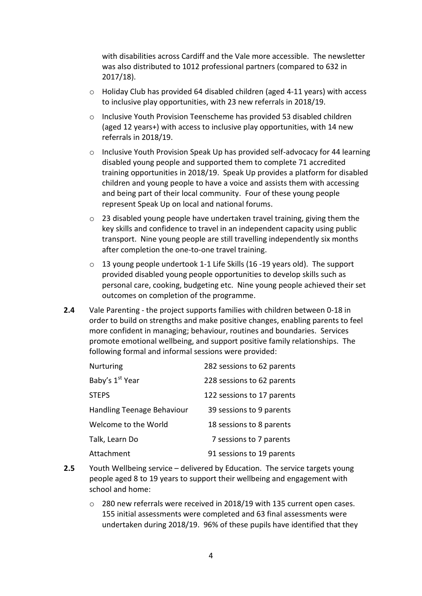with disabilities across Cardiff and the Vale more accessible. The newsletter was also distributed to 1012 professional partners (compared to 632 in 2017/18).

- $\circ$  Holiday Club has provided 64 disabled children (aged 4-11 years) with access to inclusive play opportunities, with 23 new referrals in 2018/19.
- o Inclusive Youth Provision Teenscheme has provided 53 disabled children (aged 12 years+) with access to inclusive play opportunities, with 14 new referrals in 2018/19.
- o Inclusive Youth Provision Speak Up has provided self-advocacy for 44 learning disabled young people and supported them to complete 71 accredited training opportunities in 2018/19. Speak Up provides a platform for disabled children and young people to have a voice and assists them with accessing and being part of their local community. Four of these young people represent Speak Up on local and national forums.
- $\circ$  23 disabled young people have undertaken travel training, giving them the key skills and confidence to travel in an independent capacity using public transport. Nine young people are still travelling independently six months after completion the one-to-one travel training.
- o 13 young people undertook 1-1 Life Skills (16 -19 years old). The support provided disabled young people opportunities to develop skills such as personal care, cooking, budgeting etc. Nine young people achieved their set outcomes on completion of the programme.
- **2.4** Vale Parenting the project supports families with children between 0-18 in order to build on strengths and make positive changes, enabling parents to feel more confident in managing; behaviour, routines and boundaries. Services promote emotional wellbeing, and support positive family relationships. The following formal and informal sessions were provided:

| <b>Nurturing</b>            | 282 sessions to 62 parents |
|-----------------------------|----------------------------|
| Baby's 1 <sup>st</sup> Year | 228 sessions to 62 parents |
| <b>STEPS</b>                | 122 sessions to 17 parents |
| Handling Teenage Behaviour  | 39 sessions to 9 parents   |
| Welcome to the World        | 18 sessions to 8 parents   |
| Talk, Learn Do              | 7 sessions to 7 parents    |
| Attachment                  | 91 sessions to 19 parents  |

- **2.5** Youth Wellbeing service delivered by Education. The service targets young people aged 8 to 19 years to support their wellbeing and engagement with school and home:
	- $\circ$  280 new referrals were received in 2018/19 with 135 current open cases. 155 initial assessments were completed and 63 final assessments were undertaken during 2018/19. 96% of these pupils have identified that they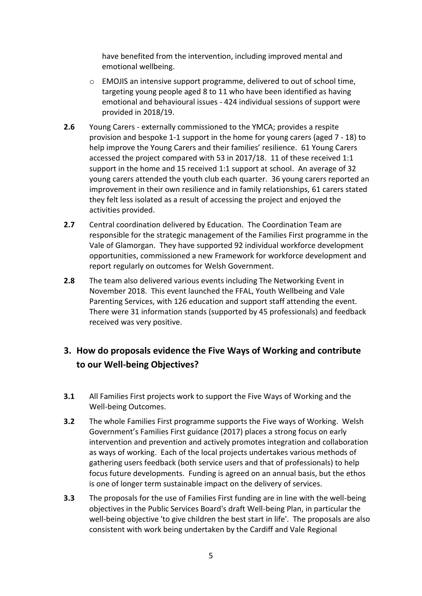have benefited from the intervention, including improved mental and emotional wellbeing.

- o EMOJIS an intensive support programme, delivered to out of school time, targeting young people aged 8 to 11 who have been identified as having emotional and behavioural issues - 424 individual sessions of support were provided in 2018/19.
- **2.6** Young Carers externally commissioned to the YMCA; provides a respite provision and bespoke 1-1 support in the home for young carers (aged 7 - 18) to help improve the Young Carers and their families' resilience. 61 Young Carers accessed the project compared with 53 in 2017/18. 11 of these received 1:1 support in the home and 15 received 1:1 support at school. An average of 32 young carers attended the youth club each quarter. 36 young carers reported an improvement in their own resilience and in family relationships, 61 carers stated they felt less isolated as a result of accessing the project and enjoyed the activities provided.
- **2.7** Central coordination delivered by Education. The Coordination Team are responsible for the strategic management of the Families First programme in the Vale of Glamorgan. They have supported 92 individual workforce development opportunities, commissioned a new Framework for workforce development and report regularly on outcomes for Welsh Government.
- **2.8** The team also delivered various events including The Networking Event in November 2018. This event launched the FFAL, Youth Wellbeing and Vale Parenting Services, with 126 education and support staff attending the event. There were 31 information stands (supported by 45 professionals) and feedback received was very positive.

# **3. How do proposals evidence the Five Ways of Working and contribute to our Well-being Objectives?**

- **3.1** All Families First projects work to support the Five Ways of Working and the Well-being Outcomes.
- **3.2** The whole Families First programme supports the Five ways of Working. Welsh Government's Families First guidance (2017) places a strong focus on early intervention and prevention and actively promotes integration and collaboration as ways of working. Each of the local projects undertakes various methods of gathering users feedback (both service users and that of professionals) to help focus future developments. Funding is agreed on an annual basis, but the ethos is one of longer term sustainable impact on the delivery of services.
- **3.3** The proposals for the use of Families First funding are in line with the well-being objectives in the Public Services Board's draft Well-being Plan, in particular the well-being objective 'to give children the best start in life'. The proposals are also consistent with work being undertaken by the Cardiff and Vale Regional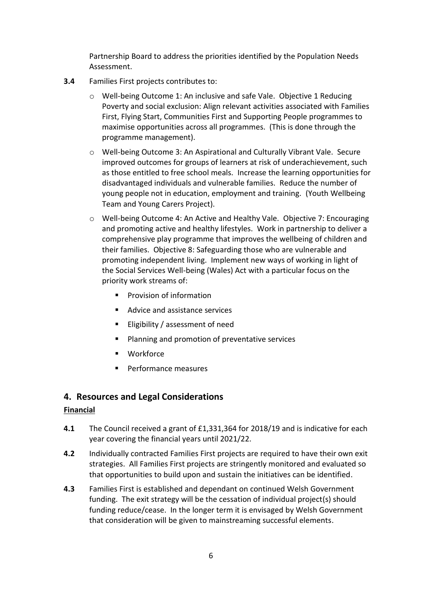Partnership Board to address the priorities identified by the Population Needs Assessment.

- **3.4** Families First projects contributes to:
	- o Well-being Outcome 1: An inclusive and safe Vale. Objective 1 Reducing Poverty and social exclusion: Align relevant activities associated with Families First, Flying Start, Communities First and Supporting People programmes to maximise opportunities across all programmes. (This is done through the programme management).
	- o Well-being Outcome 3: An Aspirational and Culturally Vibrant Vale. Secure improved outcomes for groups of learners at risk of underachievement, such as those entitled to free school meals. Increase the learning opportunities for disadvantaged individuals and vulnerable families. Reduce the number of young people not in education, employment and training. (Youth Wellbeing Team and Young Carers Project).
	- o Well-being Outcome 4: An Active and Healthy Vale. Objective 7: Encouraging and promoting active and healthy lifestyles. Work in partnership to deliver a comprehensive play programme that improves the wellbeing of children and their families. Objective 8: Safeguarding those who are vulnerable and promoting independent living. Implement new ways of working in light of the Social Services Well-being (Wales) Act with a particular focus on the priority work streams of:
		- **Provision of information**
		- Advice and assistance services
		- **Eligibility / assessment of need**
		- Planning and promotion of preventative services
		- Workforce
		- Performance measures

# **4. Resources and Legal Considerations**

#### **Financial**

- **4.1** The Council received a grant of £1,331,364 for 2018/19 and is indicative for each year covering the financial years until 2021/22.
- **4.2** Individually contracted Families First projects are required to have their own exit strategies. All Families First projects are stringently monitored and evaluated so that opportunities to build upon and sustain the initiatives can be identified.
- **4.3** Families First is established and dependant on continued Welsh Government funding. The exit strategy will be the cessation of individual project(s) should funding reduce/cease. In the longer term it is envisaged by Welsh Government that consideration will be given to mainstreaming successful elements.